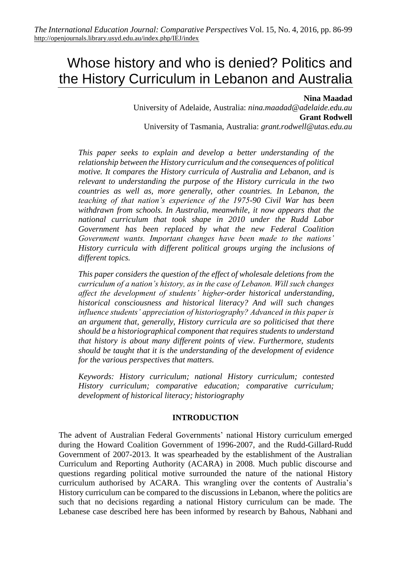# Whose history and who is denied? Politics and the History Curriculum in Lebanon and Australia

#### **Nina Maadad**

University of Adelaide, Australia: *nina.maadad@adelaide.edu.au* **Grant Rodwell** University of Tasmania, Australia: *grant.rodwell@utas.edu.au*

*This paper seeks to explain and develop a better understanding of the relationship between the History curriculum and the consequences of political motive. It compares the History curricula of Australia and Lebanon, and is relevant to understanding the purpose of the History curricula in the two countries as well as, more generally, other countries. In Lebanon, the teaching of that nation's experience of the 1975-90 Civil War has been withdrawn from schools. In Australia, meanwhile, it now appears that the national curriculum that took shape in 2010 under the Rudd Labor Government has been replaced by what the new Federal Coalition Government wants. Important changes have been made to the nations' History curricula with different political groups urging the inclusions of different topics.*

*This paper considers the question of the effect of wholesale deletions from the curriculum of a nation's history, as in the case of Lebanon. Will such changes affect the development of students' higher-order historical understanding, historical consciousness and historical literacy? And will such changes influence students' appreciation of historiography? Advanced in this paper is an argument that, generally, History curricula are so politicised that there should be a historiographical component that requires students to understand that history is about many different points of view. Furthermore, students should be taught that it is the understanding of the development of evidence for the various perspectives that matters.*

*Keywords: History curriculum; national History curriculum; contested History curriculum; comparative education; comparative curriculum; development of historical literacy; historiography*

#### **INTRODUCTION**

The advent of Australian Federal Governments' national History curriculum emerged during the Howard Coalition Government of 1996-2007, and the Rudd-Gillard-Rudd Government of 2007-2013. It was spearheaded by the establishment of the Australian Curriculum and Reporting Authority (ACARA) in 2008. Much public discourse and questions regarding political motive surrounded the nature of the national History curriculum authorised by ACARA. This wrangling over the contents of Australia's History curriculum can be compared to the discussions in Lebanon, where the politics are such that no decisions regarding a national History curriculum can be made. The Lebanese case described here has been informed by research by Bahous, Nabhani and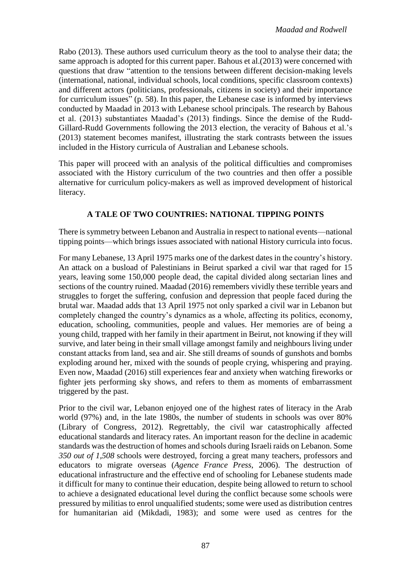Rabo (2013). These authors used curriculum theory as the tool to analyse their data; the same approach is adopted for this current paper. Bahous et al.(2013) were concerned with questions that draw "attention to the tensions between different decision-making levels (international, national, individual schools, local conditions, specific classroom contexts) and different actors (politicians, professionals, citizens in society) and their importance for curriculum issues" (p. 58). In this paper, the Lebanese case is informed by interviews conducted by Maadad in 2013 with Lebanese school principals. The research by Bahous et al. (2013) substantiates Maadad's (2013) findings. Since the demise of the Rudd-Gillard-Rudd Governments following the 2013 election, the veracity of Bahous et al.'s (2013) statement becomes manifest, illustrating the stark contrasts between the issues included in the History curricula of Australian and Lebanese schools.

This paper will proceed with an analysis of the political difficulties and compromises associated with the History curriculum of the two countries and then offer a possible alternative for curriculum policy-makers as well as improved development of historical literacy.

# **A TALE OF TWO COUNTRIES: NATIONAL TIPPING POINTS**

There is symmetry between Lebanon and Australia in respect to national events—national tipping points—which brings issues associated with national History curricula into focus.

For many Lebanese, 13 April 1975 marks one of the darkest dates in the country's history. An attack on a busload of Palestinians in Beirut sparked a civil war that raged for 15 years, leaving some 150,000 people dead, the capital divided along sectarian lines and sections of the country ruined. Maadad (2016) remembers vividly these terrible years and struggles to forget the suffering, confusion and depression that people faced during the brutal war. Maadad adds that 13 April 1975 not only sparked a civil war in Lebanon but completely changed the country's dynamics as a whole, affecting its politics, economy, education, schooling, communities, people and values. Her memories are of being a young child, trapped with her family in their apartment in Beirut, not knowing if they will survive, and later being in their small village amongst family and neighbours living under constant attacks from land, sea and air. She still dreams of sounds of gunshots and bombs exploding around her, mixed with the sounds of people crying, whispering and praying. Even now, Maadad (2016) still experiences fear and anxiety when watching fireworks or fighter jets performing sky shows, and refers to them as moments of embarrassment triggered by the past.

Prior to the civil war, Lebanon enjoyed one of the highest rates of literacy in the Arab world (97%) and, in the late 1980s, the number of students in schools was over 80% (Library of Congress, 2012). Regrettably, the civil war catastrophically affected educational standards and literacy rates. An important reason for the decline in academic standards was the destruction of homes and schools during Israeli raids on Lebanon. Some *350 out of 1,508* schools were destroyed, forcing a great many teachers, professors and educators to migrate overseas (*Agence France Press*, 2006). The destruction of educational infrastructure and the effective end of schooling for Lebanese students made it difficult for many to continue their education, despite being allowed to return to school to achieve a designated educational level during the conflict because some schools were pressured by militias to enrol unqualified students; some were used as distribution centres for humanitarian aid (Mikdadi, 1983); and some were used as centres for the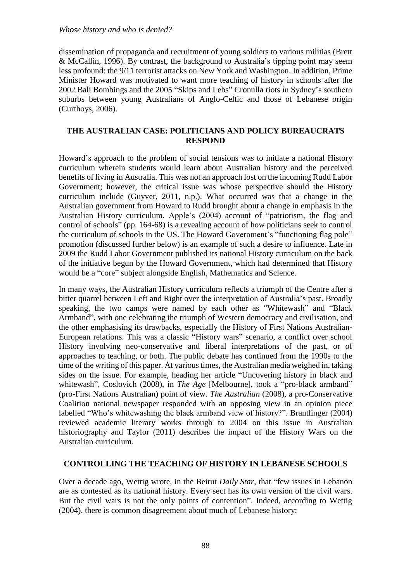dissemination of propaganda and recruitment of young soldiers to various militias (Brett & McCallin, 1996). By contrast, the background to Australia's tipping point may seem less profound: the 9/11 terrorist attacks on New York and Washington. In addition, Prime Minister Howard was motivated to want more teaching of history in schools after the 2002 Bali Bombings and the 2005 "Skips and Lebs" Cronulla riots in Sydney's southern suburbs between young Australians of Anglo-Celtic and those of Lebanese origin (Curthoys, 2006).

#### **THE AUSTRALIAN CASE: POLITICIANS AND POLICY BUREAUCRATS RESPOND**

Howard's approach to the problem of social tensions was to initiate a national History curriculum wherein students would learn about Australian history and the perceived benefits of living in Australia. This was not an approach lost on the incoming Rudd Labor Government; however, the critical issue was whose perspective should the History curriculum include (Guyver, 2011, n.p.). What occurred was that a change in the Australian government from Howard to Rudd brought about a change in emphasis in the Australian History curriculum. Apple's (2004) account of "patriotism, the flag and control of schools" (pp. 164-68) is a revealing account of how politicians seek to control the curriculum of schools in the US. The Howard Government's "functioning flag pole" promotion (discussed further below) is an example of such a desire to influence. Late in 2009 the Rudd Labor Government published its national History curriculum on the back of the initiative begun by the Howard Government, which had determined that History would be a "core" subject alongside English, Mathematics and Science.

In many ways, the Australian History curriculum reflects a triumph of the Centre after a bitter quarrel between Left and Right over the interpretation of Australia's past. Broadly speaking, the two camps were named by each other as "Whitewash" and "Black Armband", with one celebrating the triumph of Western democracy and civilisation, and the other emphasising its drawbacks, especially the History of First Nations Australian-European relations. This was a classic "History wars" scenario, a conflict over school History involving neo-conservative and liberal interpretations of the past, or of approaches to teaching, or both. The public debate has continued from the 1990s to the time of the writing of this paper. At various times, the Australian media weighed in, taking sides on the issue. For example, heading her article "Uncovering history in black and whitewash", Coslovich (2008), in *The Age* [Melbourne], took a "pro-black armband" (pro-First Nations Australian) point of view. *The Australian* (2008), a pro-Conservative Coalition national newspaper responded with an opposing view in an opinion piece labelled "Who's whitewashing the black armband view of history?". [Brantlinger](https://muse.jhu.edu/results?section1=author&search1=Patrick%20Brantlinger) (2004) reviewed academic literary works through to 2004 on this issue in Australian historiography and Taylor (2011) describes the impact of the History Wars on the Australian curriculum.

## **CONTROLLING THE TEACHING OF HISTORY IN LEBANESE SCHOOLS**

Over a decade ago, Wettig wrote, in the Beirut *Daily Star*, that "few issues in Lebanon are as contested as its national history. Every sect has its own version of the civil wars. But the civil wars is not the only points of contention". Indeed, according to Wettig (2004), there is common disagreement about much of Lebanese history: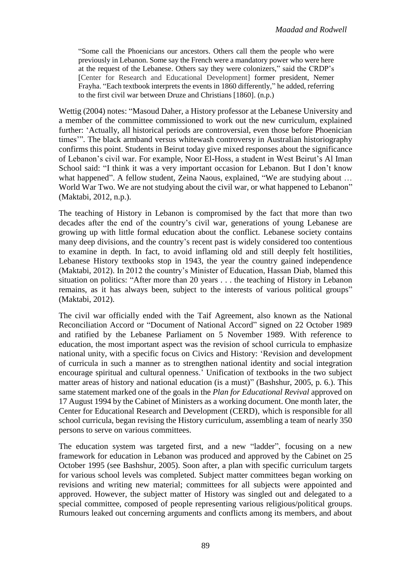"Some call the Phoenicians our ancestors. Others call them the people who were previously in Lebanon. Some say the French were a mandatory power who were here at the request of the Lebanese. Others say they were colonizers," said the CRDP's [Center for Research and Educational Development] former president, Nemer Frayha. "Each textbook interprets the events in 1860 differently," he added, referring to the first civil war between Druze and Christians [1860]. (n.p.)

Wettig (2004) notes: "Masoud Daher, a History professor at the Lebanese University and a member of the committee commissioned to work out the new curriculum, explained further: 'Actually, all historical periods are controversial, even those before Phoenician times'". The black armband versus whitewash controversy in Australian historiography confirms this point. Students in Beirut today give mixed responses about the significance of Lebanon's civil war. For example, Noor El-Hoss, a student in West Beirut's Al Iman School said: "I think it was a very important occasion for Lebanon. But I don't know what happened". A fellow student, Zeina Naous, explained, "We are studying about ... World War Two. We are not studying about the civil war, or what happened to Lebanon" (Maktabi, 2012, n.p.).

The teaching of History in Lebanon is compromised by the fact that more than two decades after the end of the country's civil war, generations of young Lebanese are growing up with little formal education about the conflict. Lebanese society contains many deep divisions, and the country's recent past is widely considered too contentious to examine in depth. In fact, to avoid inflaming old and still deeply felt hostilities, Lebanese History textbooks stop in 1943, the year the country gained independence (Maktabi, 2012). In 2012 the country's Minister of Education, Hassan Diab, blamed this situation on politics: "After more than 20 years . . . the teaching of History in Lebanon remains, as it has always been, subject to the interests of various political groups" (Maktabi, 2012).

The civil war officially ended with the Taif Agreement, also known as the National Reconciliation Accord or "Document of National Accord" signed on 22 October 1989 and ratified by the Lebanese Parliament on 5 November 1989. With reference to education, the most important aspect was the revision of school curricula to emphasize national unity, with a specific focus on Civics and History: 'Revision and development of curricula in such a manner as to strengthen national identity and social integration encourage spiritual and cultural openness.' Unification of textbooks in the two subject matter areas of history and national education (is a must)" (Bashshur, 2005, p. 6.). This same statement marked one of the goals in the *Plan for Educational Revival* approved on 17 August 1994 by the Cabinet of Ministers as a working document. One month later, the Center for Educational Research and Development (CERD), which is responsible for all school curricula, began revising the History curriculum, assembling a team of nearly 350 persons to serve on various committees.

The education system was targeted first, and a new "ladder", focusing on a new framework for education in Lebanon was produced and approved by the Cabinet on 25 October 1995 (see Bashshur, 2005). Soon after, a plan with specific curriculum targets for various school levels was completed. Subject matter committees began working on revisions and writing new material; committees for all subjects were appointed and approved. However, the subject matter of History was singled out and delegated to a special committee, composed of people representing various religious/political groups. Rumours leaked out concerning arguments and conflicts among its members, and about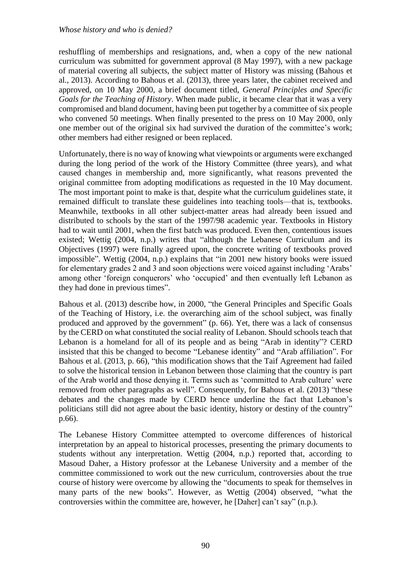reshuffling of memberships and resignations, and, when a copy of the new national curriculum was submitted for government approval (8 May 1997), with a new package of material covering all subjects, the subject matter of History was missing (Bahous et al., 2013). According to Bahous et al. (2013), three years later, the cabinet received and approved, on 10 May 2000, a brief document titled, *General Principles and Specific Goals for the Teaching of History*. When made public, it became clear that it was a very compromised and bland document, having been put together by a committee of six people who convened 50 meetings. When finally presented to the press on 10 May 2000, only one member out of the original six had survived the duration of the committee's work; other members had either resigned or been replaced.

Unfortunately, there is no way of knowing what viewpoints or arguments were exchanged during the long period of the work of the History Committee (three years), and what caused changes in membership and, more significantly, what reasons prevented the original committee from adopting modifications as requested in the 10 May document. The most important point to make is that, despite what the curriculum guidelines state, it remained difficult to translate these guidelines into teaching tools—that is, textbooks. Meanwhile, textbooks in all other subject-matter areas had already been issued and distributed to schools by the start of the 1997/98 academic year. Textbooks in History had to wait until 2001, when the first batch was produced. Even then, contentious issues existed; Wettig (2004, n.p.) writes that "although the Lebanese Curriculum and its Objectives (1997) were finally agreed upon, the concrete writing of textbooks proved impossible". Wettig (2004, n.p.) explains that "in 2001 new history books were issued for elementary grades 2 and 3 and soon objections were voiced against including 'Arabs' among other 'foreign conquerors' who 'occupied' and then eventually left Lebanon as they had done in previous times".

Bahous et al. (2013) describe how, in 2000, "the General Principles and Specific Goals of the Teaching of History, i.e. the overarching aim of the school subject, was finally produced and approved by the government" (p. 66). Yet, there was a lack of consensus by the CERD on what constituted the social reality of Lebanon. Should schools teach that Lebanon is a homeland for all of its people and as being "Arab in identity"? CERD insisted that this be changed to become "Lebanese identity" and "Arab affiliation". For Bahous et al. (2013, p. 66), "this modification shows that the Taif Agreement had failed to solve the historical tension in Lebanon between those claiming that the country is part of the Arab world and those denying it. Terms such as 'committed to Arab culture' were removed from other paragraphs as well". Consequently, for Bahous et al. (2013) "these debates and the changes made by CERD hence underline the fact that Lebanon's politicians still did not agree about the basic identity, history or destiny of the country" p.66).

The Lebanese History Committee attempted to overcome differences of historical interpretation by an appeal to historical processes, presenting the primary documents to students without any interpretation. Wettig (2004, n.p.) reported that, according to Masoud Daher, a History professor at the Lebanese University and a member of the committee commissioned to work out the new curriculum, controversies about the true course of history were overcome by allowing the "documents to speak for themselves in many parts of the new books". However, as Wettig (2004) observed, "what the controversies within the committee are, however, he [Daher] can't say" (n.p.).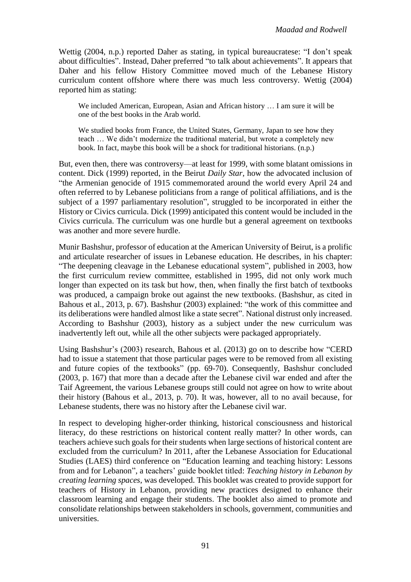Wettig (2004, n.p.) reported Daher as stating, in typical bureaucratese: "I don't speak about difficulties". Instead, Daher preferred "to talk about achievements". It appears that Daher and his fellow History Committee moved much of the Lebanese History curriculum content offshore where there was much less controversy. Wettig (2004) reported him as stating:

We included American, European, Asian and African history … I am sure it will be one of the best books in the Arab world.

We studied books from France, the United States, Germany, Japan to see how they teach … We didn't modernize the traditional material, but wrote a completely new book. In fact, maybe this book will be a shock for traditional historians. (n.p.)

But, even then, there was controversy––at least for 1999, with some blatant omissions in content. Dick (1999) reported, in the Beirut *Daily Star*, how the advocated inclusion of "the Armenian genocide of 1915 commemorated around the world every April 24 and often referred to by Lebanese politicians from a range of political affiliations, and is the subject of a 1997 parliamentary resolution", struggled to be incorporated in either the History or Civics curricula. Dick (1999) anticipated this content would be included in the Civics curricula. The curriculum was one hurdle but a general agreement on textbooks was another and more severe hurdle.

Munir Bashshur, professor of education at the American University of Beirut, is a prolific and articulate researcher of issues in Lebanese education. He describes, in his chapter: "The deepening cleavage in the Lebanese educational system", published in 2003, how the first curriculum review committee, established in 1995, did not only work much longer than expected on its task but how, then, when finally the first batch of textbooks was produced, a campaign broke out against the new textbooks. (Bashshur, as cited in Bahous et al., 2013, p. 67). Bashshur (2003) explained: "the work of this committee and its deliberations were handled almost like a state secret". National distrust only increased. According to Bashshur (2003), history as a subject under the new curriculum was inadvertently left out, while all the other subjects were packaged appropriately.

Using Bashshur's (2003) research, Bahous et al. (2013) go on to describe how "CERD had to issue a statement that those particular pages were to be removed from all existing and future copies of the textbooks" (pp. 69-70). Consequently, Bashshur concluded (2003, p. 167) that more than a decade after the Lebanese civil war ended and after the Taif Agreement, the various Lebanese groups still could not agree on how to write about their history (Bahous et al., 2013, p. 70). It was, however, all to no avail because, for Lebanese students, there was no history after the Lebanese civil war.

In respect to developing higher-order thinking, historical consciousness and historical literacy, do these restrictions on historical content really matter? In other words, can teachers achieve such goals for their students when large sections of historical content are excluded from the curriculum? In 2011, after the Lebanese Association for Educational Studies (LAES) third conference on "Education learning and teaching history: Lessons from and for Lebanon", a teachers' guide booklet titled: *Teaching history in Lebanon by creating learning spaces*, was developed. This booklet was created to provide support for teachers of History in Lebanon, providing new practices designed to enhance their classroom learning and engage their students. The booklet also aimed to promote and consolidate relationships between stakeholders in schools, government, communities and universities.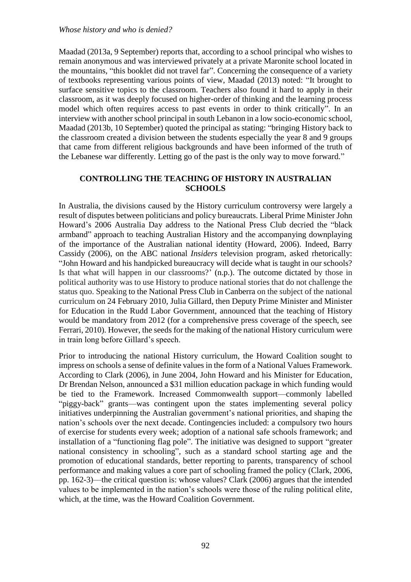Maadad (2013a, 9 September) reports that, according to a school principal who wishes to remain anonymous and was interviewed privately at a private Maronite school located in the mountains, "this booklet did not travel far". Concerning the consequence of a variety of textbooks representing various points of view, Maadad (2013) noted: "It brought to surface sensitive topics to the classroom. Teachers also found it hard to apply in their classroom, as it was deeply focused on higher-order of thinking and the learning process model which often requires access to past events in order to think critically". In an interview with another school principal in south Lebanon in a low socio-economic school, Maadad (2013b, 10 September) quoted the principal as stating: "bringing History back to the classroom created a division between the students especially the year 8 and 9 groups that came from different religious backgrounds and have been informed of the truth of the Lebanese war differently. Letting go of the past is the only way to move forward."

#### **CONTROLLING THE TEACHING OF HISTORY IN AUSTRALIAN SCHOOLS**

In Australia, the divisions caused by the History curriculum controversy were largely a result of disputes between politicians and policy bureaucrats. Liberal Prime Minister John Howard's 2006 Australia Day address to the National Press Club decried the "black armband" approach to teaching Australian History and the accompanying downplaying of the importance of the Australian national identity (Howard, 2006). Indeed, Barry Cassidy (2006), on the ABC national *Insiders* television program, asked rhetorically: "John Howard and his handpicked bureaucracy will decide what is taught in our schools? Is that what will happen in our classrooms?' (n.p.). The outcome dictated by those in political authority was to use History to produce national stories that do not challenge the status quo. Speaking to the National Press Club in Canberra on the subject of the national curriculum on 24 February 2010, Julia Gillard, then Deputy Prime Minister and Minister for Education in the Rudd Labor Government, announced that the teaching of History would be mandatory from 2012 (for a comprehensive press coverage of the speech, see Ferrari, 2010). However, the seeds for the making of the national History curriculum were in train long before Gillard's speech.

Prior to introducing the national History curriculum, the Howard Coalition sought to impress on schools a sense of definite values in the form of a National Values Framework. According to Clark (2006), in June 2004, John Howard and his Minister for Education, Dr Brendan Nelson, announced a \$31 million education package in which funding would be tied to the Framework. Increased Commonwealth support—commonly labelled "piggy-back" grants—was contingent upon the states implementing several policy initiatives underpinning the Australian government's national priorities, and shaping the nation's schools over the next decade. Contingencies included: a compulsory two hours of exercise for students every week; adoption of a national safe schools framework; and installation of a "functioning flag pole". The initiative was designed to support "greater national consistency in schooling", such as a standard school starting age and the promotion of educational standards, better reporting to parents, transparency of school performance and making values a core part of schooling framed the policy (Clark, 2006, pp. 162-3)––the critical question is: whose values? Clark (2006) argues that the intended values to be implemented in the nation's schools were those of the ruling political elite, which, at the time, was the Howard Coalition Government.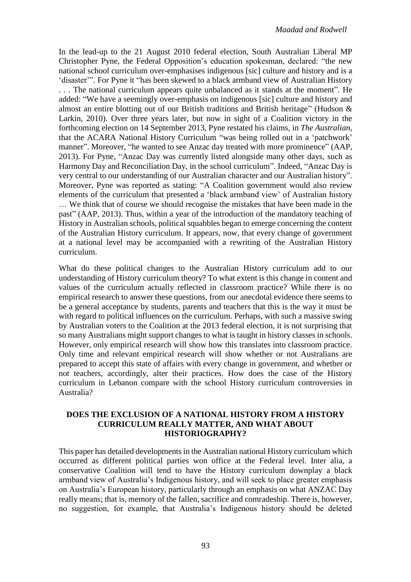In the lead-up to the 21 August 2010 federal election, South Australian Liberal MP Christopher Pyne, the Federal Opposition's education spokesman, declared: "the new national school curriculum over-emphasises indigenous [sic] culture and history and is a 'disaster'". For Pyne it "has been skewed to a black armband view of Australian History . . . The national curriculum appears quite unbalanced as it stands at the moment". He added: "We have a seemingly over-emphasis on indigenous [sic] culture and history and almost an entire blotting out of our British traditions and British heritage" (Hudson & Larkin, 2010). Over three years later, but now in sight of a Coalition victory in the forthcoming election on 14 September 2013, Pyne restated his claims, in *The Australian,*  that the ACARA National History Curriculum "was being rolled out in a 'patchwork' manner". Moreover, "he wanted to see Anzac day treated with more prominence" (AAP*,*  2013). For Pyne, "Anzac Day was currently listed alongside many other days, such as Harmony Day and Reconciliation Day, in the school curriculum". Indeed, "Anzac Day is very central to our understanding of our Australian character and our Australian history". Moreover, Pyne was reported as stating: "A Coalition government would also review elements of the curriculum that presented a 'black armband view' of Australian history … We think that of course we should recognise the mistakes that have been made in the past" (AAP, 2013). Thus, within a year of the introduction of the mandatory teaching of History in Australian schools, political squabbles began to emerge concerning the content of the Australian History curriculum. It appears, now, that every change of government at a national level may be accompanied with a rewriting of the Australian History curriculum.

What do these political changes to the Australian History curriculum add to our understanding of History curriculum theory? To what extent is this change in content and values of the curriculum actually reflected in classroom practice? While there is no empirical research to answer these questions, from our anecdotal evidence there seems to be a general acceptance by students, parents and teachers that this is the way it must be with regard to political influences on the curriculum. Perhaps, with such a massive swing by Australian voters to the Coalition at the 2013 federal election, it is not surprising that so many Australians might support changes to what is taught in history classes in schools. However, only empirical research will show how this translates into classroom practice. Only time and relevant empirical research will show whether or not Australians are prepared to accept this state of affairs with every change in government, and whether or not teachers, accordingly, alter their practices. How does the case of the History curriculum in Lebanon compare with the school History curriculum controversies in Australia?

#### **DOES THE EXCLUSION OF A NATIONAL HISTORY FROM A HISTORY CURRICULUM REALLY MATTER, AND WHAT ABOUT HISTORIOGRAPHY?**

This paper has detailed developments in the Australian national History curriculum which occurred as different political parties won office at the Federal level. Inter alia, a conservative Coalition will tend to have the History curriculum downplay a black armband view of Australia's Indigenous history, and will seek to place greater emphasis on Australia's European history, particularly through an emphasis on what ANZAC Day really means; that is, memory of the fallen, sacrifice and comradeship. There is, however, no suggestion, for example, that Australia's Indigenous history should be deleted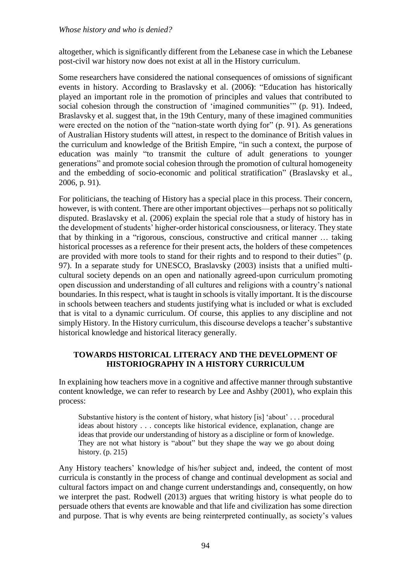altogether, which is significantly different from the Lebanese case in which the Lebanese post-civil war history now does not exist at all in the History curriculum.

Some researchers have considered the national consequences of omissions of significant events in history. According to Braslavsky et al. (2006**)**: "Education has historically played an important role in the promotion of principles and values that contributed to social cohesion through the construction of 'imagined communities'" (p. 91). Indeed, Braslavsky et al. suggest that, in the 19th Century, many of these imagined communities were erected on the notion of the "nation-state worth dying for" (p. 91). As generations of Australian History students will attest, in respect to the dominance of British values in the curriculum and knowledge of the British Empire, "in such a context, the purpose of education was mainly "to transmit the culture of adult generations to younger generations" and promote social cohesion through the promotion of cultural homogeneity and the embedding of socio-economic and political stratification" (Braslavsky et al., 2006, p. 91).

For politicians, the teaching of History has a special place in this process. Their concern, however, is with content. There are other important objectives—perhaps not so politically disputed. Braslavsky et al. (2006) explain the special role that a study of history has in the development of students' higher-order historical consciousness, or literacy. They state that by thinking in a "rigorous, conscious, constructive and critical manner … taking historical processes as a reference for their present acts, the holders of these competences are provided with more tools to stand for their rights and to respond to their duties" (p. 97). In a separate study for UNESCO, Braslavsky (2003) insists that a unified multicultural society depends on an open and nationally agreed-upon curriculum promoting open discussion and understanding of all cultures and religions with a country's national boundaries. In this respect, what is taught in schools is vitally important. It is the discourse in schools between teachers and students justifying what is included or what is excluded that is vital to a dynamic curriculum. Of course, this applies to any discipline and not simply History. In the History curriculum, this discourse develops a teacher's substantive historical knowledge and historical literacy generally.

## **TOWARDS HISTORICAL LITERACY AND THE DEVELOPMENT OF HISTORIOGRAPHY IN A HISTORY CURRICULUM**

In explaining how teachers move in a cognitive and affective manner through substantive content knowledge, we can refer to research by Lee and Ashby (2001), who explain this process:

Substantive history is the content of history, what history [is] 'about' . . . procedural ideas about history . . . concepts like historical evidence, explanation, change are ideas that provide our understanding of history as a discipline or form of knowledge. They are not what history is "about" but they shape the way we go about doing history. (p. 215)

Any History teachers' knowledge of his/her subject and, indeed, the content of most curricula is constantly in the process of change and continual development as social and cultural factors impact on and change current understandings and, consequently, on how we interpret the past. Rodwell (2013) argues that writing history is what people do to persuade others that events are knowable and that life and civilization has some direction and purpose. That is why events are being reinterpreted continually, as society's values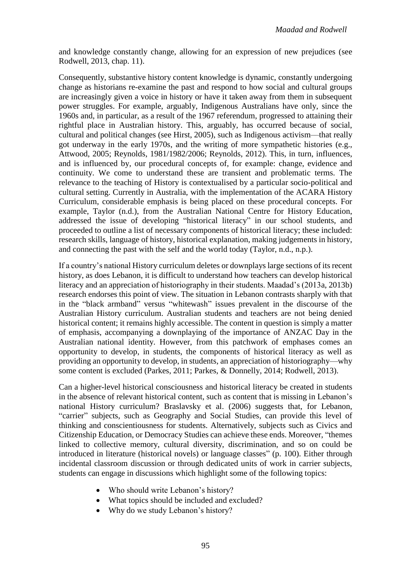and knowledge constantly change, allowing for an expression of new prejudices (see Rodwell, 2013, chap. 11).

Consequently, substantive history content knowledge is dynamic, constantly undergoing change as historians re-examine the past and respond to how social and cultural groups are increasingly given a voice in history or have it taken away from them in subsequent power struggles. For example, arguably, Indigenous Australians have only, since the 1960s and, in particular, as a result of the 1967 referendum, progressed to attaining their rightful place in Australian history. This, arguably, has occurred because of social, cultural and political changes (see Hirst, 2005), such as Indigenous activism––that really got underway in the early 1970s, and the writing of more sympathetic histories (e.g., Attwood, 2005; Reynolds, 1981/1982/2006; Reynolds, 2012). This, in turn, influences, and is influenced by, our procedural concepts of, for example: change, evidence and continuity. We come to understand these are transient and problematic terms. The relevance to the teaching of History is contextualised by a particular socio-political and cultural setting. Currently in Australia, with the implementation of the ACARA History Curriculum, considerable emphasis is being placed on these procedural concepts. For example, Taylor (n.d.), from the Australian National Centre for History Education, addressed the issue of developing "historical literacy" in our school students, and proceeded to outline a list of necessary components of historical literacy; these included: research skills, language of history, historical explanation, making judgements in history, and connecting the past with the self and the world today (Taylor, n.d., n.p.).

If a country's national History curriculum deletes or downplays large sections of its recent history, as does Lebanon, it is difficult to understand how teachers can develop historical literacy and an appreciation of historiography in their students. Maadad's (2013a, 2013b) research endorses this point of view. The situation in Lebanon contrasts sharply with that in the "black armband" versus "whitewash" issues prevalent in the discourse of the Australian History curriculum. Australian students and teachers are not being denied historical content; it remains highly accessible. The content in question is simply a matter of emphasis, accompanying a downplaying of the importance of ANZAC Day in the Australian national identity. However, from this patchwork of emphases comes an opportunity to develop, in students, the components of historical literacy as well as providing an opportunity to develop, in students, an appreciation of historiography—why some content is excluded (Parkes, 2011; Parkes, & Donnelly, 2014; Rodwell, 2013).

Can a higher-level historical consciousness and historical literacy be created in students in the absence of relevant historical content, such as content that is missing in Lebanon's national History curriculum? Braslavsky et al. (2006) suggests that, for Lebanon, "carrier" subjects, such as Geography and Social Studies, can provide this level of thinking and conscientiousness for students. Alternatively, subjects such as Civics and Citizenship Education, or Democracy Studies can achieve these ends. Moreover, "themes linked to collective memory, cultural diversity, discrimination, and so on could be introduced in literature (historical novels) or language classes" (p. 100). Either through incidental classroom discussion or through dedicated units of work in carrier subjects, students can engage in discussions which highlight some of the following topics:

- Who should write Lebanon's history?
- What topics should be included and excluded?
- Why do we study Lebanon's history?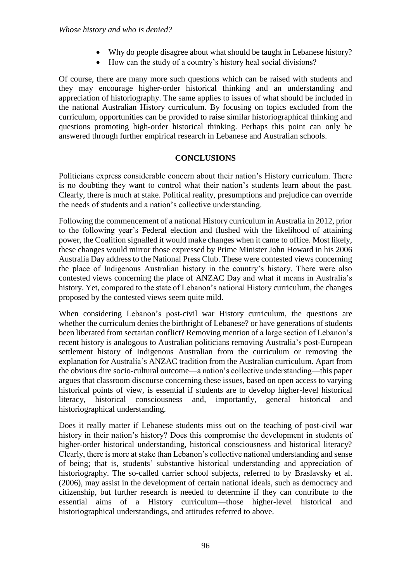- Why do people disagree about what should be taught in Lebanese history?
- How can the study of a country's history heal social divisions?

Of course, there are many more such questions which can be raised with students and they may encourage higher-order historical thinking and an understanding and appreciation of historiography. The same applies to issues of what should be included in the national Australian History curriculum. By focusing on topics excluded from the curriculum, opportunities can be provided to raise similar historiographical thinking and questions promoting high-order historical thinking. Perhaps this point can only be answered through further empirical research in Lebanese and Australian schools.

## **CONCLUSIONS**

Politicians express considerable concern about their nation's History curriculum. There is no doubting they want to control what their nation's students learn about the past. Clearly, there is much at stake. Political reality, presumptions and prejudice can override the needs of students and a nation's collective understanding.

Following the commencement of a national History curriculum in Australia in 2012, prior to the following year's Federal election and flushed with the likelihood of attaining power, the Coalition signalled it would make changes when it came to office. Most likely, these changes would mirror those expressed by Prime Minister John Howard in his 2006 Australia Day address to the National Press Club. These were contested views concerning the place of Indigenous Australian history in the country's history. There were also contested views concerning the place of ANZAC Day and what it means in Australia's history. Yet, compared to the state of Lebanon's national History curriculum, the changes proposed by the contested views seem quite mild.

When considering Lebanon's post-civil war History curriculum, the questions are whether the curriculum denies the birthright of Lebanese? or have generations of students been liberated from sectarian conflict? Removing mention of a large section of Lebanon's recent history is analogous to Australian politicians removing Australia's post-European settlement history of Indigenous Australian from the curriculum or removing the explanation for Australia's ANZAC tradition from the Australian curriculum. Apart from the obvious dire socio-cultural outcome—a nation's collective understanding—this paper argues that classroom discourse concerning these issues, based on open access to varying historical points of view, is essential if students are to develop higher-level historical literacy, historical consciousness and, importantly, general historical and historiographical understanding.

Does it really matter if Lebanese students miss out on the teaching of post-civil war history in their nation's history? Does this compromise the development in students of higher-order historical understanding, historical consciousness and historical literacy? Clearly, there is more at stake than Lebanon's collective national understanding and sense of being; that is, students' substantive historical understanding and appreciation of historiography. The so-called carrier school subjects, referred to by Braslavsky et al. (2006), may assist in the development of certain national ideals, such as democracy and citizenship, but further research is needed to determine if they can contribute to the essential aims of a History curriculum—those higher-level historical and historiographical understandings, and attitudes referred to above.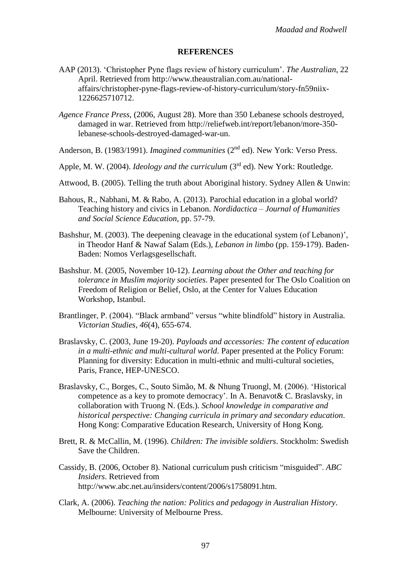#### **REFERENCES**

- AAP (2013). 'Christopher Pyne flags review of history curriculum'. *The Australian*, 22 April. Retrieved from http://www.theaustralian.com.au/nationalaffairs/christopher-pyne-flags-review-of-history-curriculum/story-fn59niix-1226625710712.
- *Agence France Press*, (2006, August 28). More than 350 Lebanese schools destroyed, damaged in war. Retrieved from http://reliefweb.int/report/lebanon/more-350 lebanese-schools-destroyed-damaged-war-un.
- Anderson, B. (1983/1991). *Imagined communities* (2<sup>nd</sup> ed). New York: Verso Press.
- Apple, M. W. (2004). *Ideology and the curriculum* (3<sup>rd</sup> ed). New York: Routledge.
- Attwood, B. (2005). Telling the truth about Aboriginal history. Sydney Allen & Unwin:
- Bahous, R., Nabhani, M. & Rabo, A. (2013). Parochial education in a global world? Teaching history and civics in Lebanon. *Nordidactica – Journal of Humanities and Social Science Education*, pp. 57-79.
- Bashshur, M. (2003). The deepening cleavage in the educational system (of Lebanon)', in Theodor Hanf & Nawaf Salam (Eds.), *Lebanon in limbo* (pp. 159-179). Baden-Baden: Nomos Verlagsgesellschaft.
- Bashshur. M. (2005, November 10-12). *Learning about the Other and teaching for tolerance in Muslim majority societies*. Paper presented for The Oslo Coalition on Freedom of Religion or Belief, Oslo, at the Center for Values Education Workshop, Istanbul.
- [Brantlinger,](https://muse.jhu.edu/results?section1=author&search1=Patrick%20Brantlinger) P. (2004). "Black armband" versus "white blindfold" history in Australia. *Victorian Studies*, *46*(4), 655-674.
- Braslavsky, C. (2003, June 19-20). *Payloads and accessories: The content of education in a multi-ethnic and multi-cultural world*. Paper presented at the Policy Forum: Planning for diversity: Education in multi-ethnic and multi-cultural societies, Paris, France, HEP-UNESCO.
- Braslavsky, C., Borges, C., Souto Simão, M. & Nhung Truongl, M. (2006). 'Historical competence as a key to promote democracy'. In A. Benavot& C. Braslavsky, in collaboration with Truong N. (Eds.). *School knowledge in comparative and historical perspective: Changing curricula in primary and secondary education*. Hong Kong: Comparative Education Research, University of Hong Kong.
- Brett, R. & McCallin, M. (1996). *Children: The invisible soldiers*. Stockholm: Swedish Save the Children.
- Cassidy, B. (2006, October 8). National curriculum push criticism "misguided". *ABC Insiders*. Retrieved from http://www.abc.net.au/insiders/content/2006/s1758091.htm.
- Clark, A. (2006). *Teaching the nation: Politics and pedagogy in Australian History*. Melbourne: University of Melbourne Press.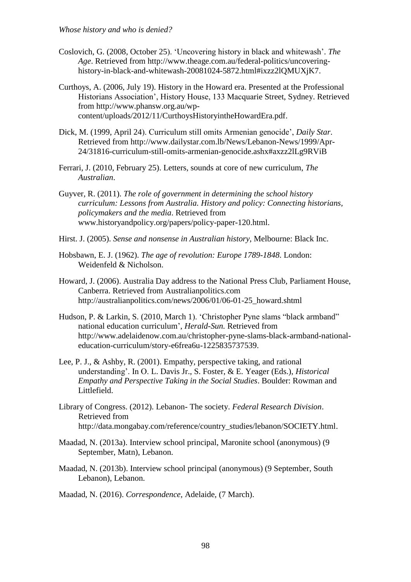- Coslovich, G. (2008, October 25). 'Uncovering history in black and whitewash'. *The Age*. Retrieved from http://www.theage.com.au/federal-politics/uncoveringhistory-in-black-and-whitewash-20081024-5872.html#ixzz2lQMUXjK7.
- Curthoys, A. (2006, July 19). History in the Howard era. Presented at the Professional Historians Association', History House, 133 Macquarie Street, Sydney. Retrieved from http://www.phansw.org.au/wpcontent/uploads/2012/11/CurthoysHistoryintheHowardEra.pdf.
- Dick, M. (1999, April 24). Curriculum still omits Armenian genocide', *Daily Star*. Retrieved from http://www.dailystar.com.lb/News/Lebanon-News/1999/Apr-24/31816-curriculum-still-omits-armenian-genocide.ashx#axzz2lLg9RViB
- Ferrari, J. (2010, February 25). Letters, sounds at core of new curriculum, *The Australian*.
- Guyver, R. (2011). *The role of government in determining the school history curriculum: Lessons from Australia. History and policy: Connecting historians, policymakers and the media*. Retrieved from www.historyandpolicy.org/papers/policy-paper-120.html.
- Hirst. J. (2005). *Sense and nonsense in Australian history*, Melbourne: Black Inc.
- Hobsbawn, E. J. (1962). *The age of revolution: Europe 1789-1848*. London: Weidenfeld & Nicholson.
- Howard, J. (2006). Australia Day address to the National Press Club, Parliament House, Canberra. Retrieved from Australianpolitics.com http://australianpolitics.com/news/2006/01/06-01-25\_howard.shtml
- Hudson, P. & Larkin, S. (2010, March 1). 'Christopher Pyne slams "black armband" national education curriculum', *Herald-Sun.* Retrieved from [http://www.adelaidenow.com.au/christopher-pyne-slams-black-armband-national](http://www.adelaidenow.com.au/christopher-pyne-slams-black-armband-national-education-curriculum/story-e6frea6u-1225835737539)[education-curriculum/story-e6frea6u-1225835737539.](http://www.adelaidenow.com.au/christopher-pyne-slams-black-armband-national-education-curriculum/story-e6frea6u-1225835737539)
- Lee, P. J., & Ashby, R. (2001). Empathy, perspective taking, and rational understanding'. In O. L. Davis Jr., S. Foster, & E. Yeager (Eds.), *Historical Empathy and Perspective Taking in the Social Studies*. Boulder: Rowman and Littlefield.
- Library of Congress. (2012). Lebanon- The society. *Federal Research Division*. Retrieved from http://data.mongabay.com/reference/country\_studies/lebanon/SOCIETY.html.
- Maadad, N. (2013a). Interview school principal, Maronite school (anonymous) (9 September, Matn), Lebanon.
- Maadad, N. (2013b). Interview school principal (anonymous) (9 September, South Lebanon), Lebanon.
- Maadad, N. (2016). *Correspondence*, Adelaide, (7 March).